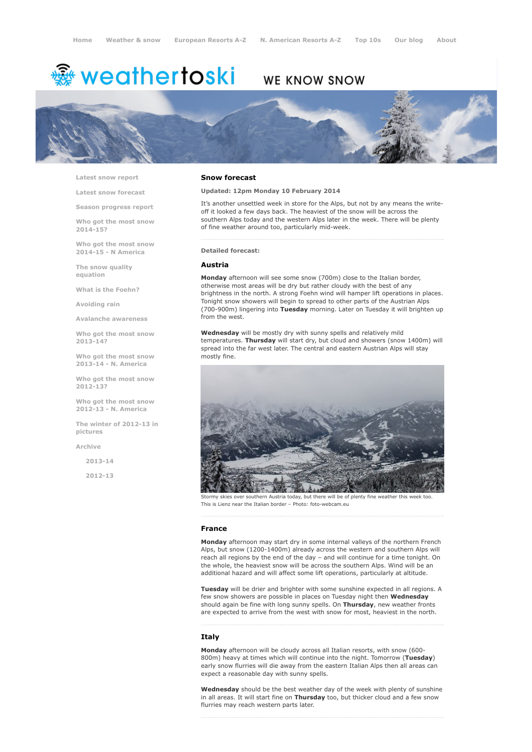# <del>鑾</del> weathertoski

# WE KNOW SNOW



Latest snow [report](http://www.weathertoski.co.uk/weather-snow/latest-snow-report/)

Latest snow [forecast](http://www.weathertoski.co.uk/weather-snow/latest-snow-forecast/)

Season [progress](http://www.weathertoski.co.uk/weather-snow/season-progress-report/) report

Who got the most snow 2014-15? Who got the most snow

2014-15 - N America

The snow quality [equation](http://www.weathertoski.co.uk/weather-snow/the-snow-quality-equation/)

What is the [Foehn?](http://www.weathertoski.co.uk/weather-snow/what-is-the-foehn/)

[Avoiding](http://www.weathertoski.co.uk/weather-snow/avoiding-rain/) rain

Avalanche [awareness](http://www.weathertoski.co.uk/weather-snow/avalanche-awareness/)

Who got the most snow 2013-14?

Who got the most snow 2013-14 - N. America

Who got the most snow 2012-13?

Who got the most snow 2012-13 - N. America

The winter of 2012-13 in pictures

[Archive](http://www.weathertoski.co.uk/weather-snow/archive/)

2013-14

2012-13

#### Snow forecast

#### Updated: 12pm Monday 10 February 2014

It's another unsettled week in store for the Alps, but not by any means the writeoff it looked a few days back. The heaviest of the snow will be across the southern Alps today and the western Alps later in the week. There will be plenty of fine weather around too, particularly mid-week.

#### Detailed forecast:

#### Austria

Monday afternoon will see some snow (700m) close to the Italian border, otherwise most areas will be dry but rather cloudy with the best of any brightness in the north. A strong Foehn wind will hamper lift operations in places. Tonight snow showers will begin to spread to other parts of the Austrian Alps  $(700-900\text{m})$  lingering into Tuesday morning. Later on Tuesday it will brighten up from the west.

Wednesday will be mostly dry with sunny spells and relatively mild temperatures. Thursday will start dry, but cloud and showers (snow 1400m) will spread into the far west later. The central and eastern Austrian Alps will stay mostly fine.



Stormy skies over southern Austria today, but there will be of plenty fine weather this week too. This is Lienz near the Italian border - Photo: foto-webcam.eu

#### France

Monday afternoon may start dry in some internal valleys of the northern French Alps, but snow (1200-1400m) already across the western and southern Alps will reach all regions by the end of the day – and will continue for a time tonight. On the whole, the heaviest snow will be across the southern Alps. Wind will be an additional hazard and will affect some lift operations, particularly at altitude.

Tuesday will be drier and brighter with some sunshine expected in all regions. A few snow showers are possible in places on Tuesday night then Wednesday should again be fine with long sunny spells. On Thursday, new weather fronts are expected to arrive from the west with snow for most, heaviest in the north.

### Italy

Monday afternoon will be cloudy across all Italian resorts, with snow (600-800m) heavy at times which will continue into the night. Tomorrow (Tuesday) early snow flurries will die away from the eastern Italian Alps then all areas can expect a reasonable day with sunny spells.

Wednesday should be the best weather day of the week with plenty of sunshine in all areas. It will start fine on Thursday too, but thicker cloud and a few snow flurries may reach western parts later.